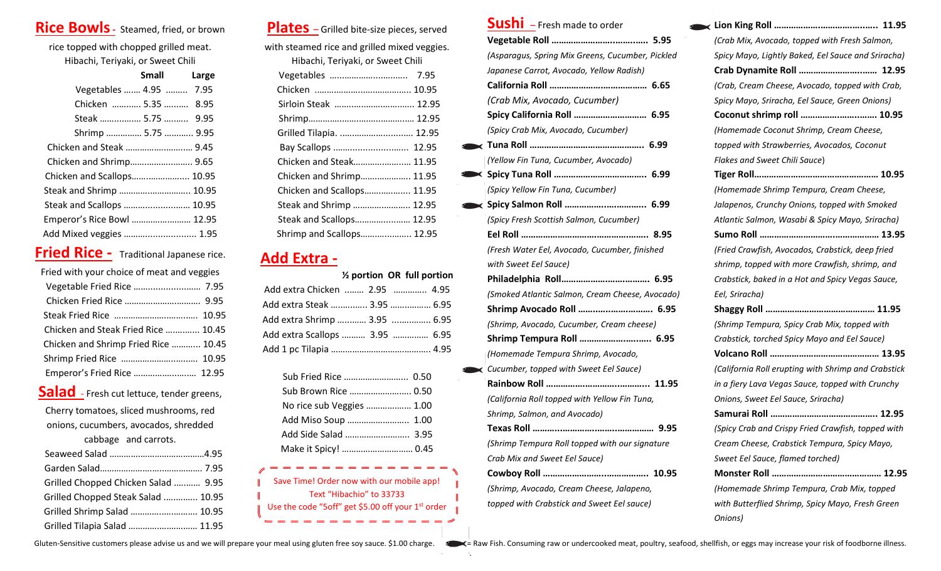# **Rice Bowls-** Steamed, fried, or brown

rice topped with chopped grilled meat. Hibachi, Teriyaki, or Sweet Chili

|                            | <b>Small</b> | Large |
|----------------------------|--------------|-------|
| Vegetables  4.95  7.95     |              |       |
| Chicken  5.35  8.95        |              |       |
| Steak  5.75  9.95          |              |       |
| Shrimp  5.75  9.95         |              |       |
| Chicken and Steak  9.45    |              |       |
| Chicken and Shrimp 9.65    |              |       |
| Chicken and Scallops 10.95 |              |       |
| Steak and Shrimp  10.95    |              |       |
| Steak and Scallops  10.95  |              |       |
| Emperor's Rice Bowl  12.95 |              |       |
| Add Mixed veggies  1.95    |              |       |
|                            |              |       |

# **Fried Rice -** Traditional Japanese rice.

| Fried with your choice of meat and veggies |  |  |  |
|--------------------------------------------|--|--|--|
| Vegetable Fried Rice  7.95                 |  |  |  |
|                                            |  |  |  |
|                                            |  |  |  |
| Chicken and Steak Fried Rice  10.45        |  |  |  |
| Chicken and Shrimp Fried Rice  10.45       |  |  |  |
| Shrimp Fried Rice  10.95                   |  |  |  |
| Emperor's Fried Rice  12.95                |  |  |  |
| Salad - Fresh cut lettuce, tender greens,  |  |  |  |
| Cherry tomatoes, sliced mushrooms, red     |  |  |  |
| onions, cucumbers, avocados, shredded      |  |  |  |

| cabbage and carrots.                |  |
|-------------------------------------|--|
|                                     |  |
|                                     |  |
| Grilled Chopped Chicken Salad  9.95 |  |
| Grilled Chopped Steak Salad  10.95  |  |
| Grilled Shrimp Salad  10.95         |  |
| Grilled Tilapia Salad  11.95        |  |

**Plates** – Grilled bite-size pieces, served

with steamed rice and grilled mixed veggies. Hibachi, Teriyaki, or Sweet Chili

| <b>THOUGHT, TUTTVUNT, OF SWEET CHILL</b> |  |  |
|------------------------------------------|--|--|
| Vegetables<br>7.95                       |  |  |
|                                          |  |  |
|                                          |  |  |
|                                          |  |  |
| Grilled Tilapia.  12.95                  |  |  |
|                                          |  |  |
| Chicken and Steak 11.95                  |  |  |
| Chicken and Shrimp 11.95                 |  |  |
| Chicken and Scallops 11.95               |  |  |
| Steak and Shrimp  12.95                  |  |  |
| Steak and Scallops 12.95                 |  |  |
| Shrimp and Scallops 12.95                |  |  |

## **Add Extra -**

|                                | 1/2 portion OR full portion |
|--------------------------------|-----------------------------|
| Add extra Chicken  2.95  4.95  |                             |
|                                |                             |
| Add extra Shrimp  3.95  6.95   |                             |
| Add extra Scallops  3.95  6.95 |                             |
|                                |                             |

| Sub Fried Rice  0.50      |  |
|---------------------------|--|
| Sub Brown Rice  0.50      |  |
| No rice sub Veggies  1.00 |  |
|                           |  |
|                           |  |
| Make it Spicy!  0.45      |  |

Save Time! Order now with our mobile app! Text "Hibachio" to 33733 Use the code "5off" get \$5.00 off your 1<sup>st</sup> order  $=$ 

 $=$  = = = = =

.

| <b>Sushi</b> - Fresh made to order |  |
|------------------------------------|--|
|                                    |  |

|   | vegetavie nuil …………………………………                     |
|---|--------------------------------------------------|
|   | (Asparagus, Spring Mix Greens, Cucumber, Pickled |
|   | Japanese Carrot, Avocado, Yellow Radish)         |
|   |                                                  |
|   | (Crab Mix, Avocado, Cucumber)                    |
|   | Spicy California Roll  6.95                      |
|   | (Spicy Crab Mix, Avocado, Cucumber)              |
|   |                                                  |
|   | (Yellow Fin Tuna, Cucumber, Avocado)             |
| ≺ |                                                  |
|   | (Spicy Yellow Fin Tuna, Cucumber)                |
|   |                                                  |
|   | (Spicy Fresh Scottish Salmon, Cucumber)          |
|   |                                                  |
|   | (Fresh Water Eel, Avocado, Cucumber, finished    |
|   | with Sweet Eel Sauce)                            |
|   |                                                  |
|   | (Smoked Atlantic Salmon, Cream Cheese, Avocado)  |
|   | Shrimp Avocado Roll  6.95                        |
|   | (Shrimp, Avocado, Cucumber, Cream cheese)        |
|   | Shrimp Tempura Roll  6.95                        |
|   | (Homemade Tempura Shrimp, Avocado,               |
| ĸ | Cucumber, topped with Sweet Eel Sauce)           |
|   |                                                  |
|   | (California Roll topped with Yellow Fin Tuna,    |
|   | Shrimp, Salmon, and Avocado)                     |
|   |                                                  |
|   | (Shrimp Tempura Roll topped with our signature   |
|   | Crab Mix and Sweet Eel Sauce)                    |
|   |                                                  |
|   | (Shrimp, Avocado, Cream Cheese, Jalapeno,        |
|   | topped with Crabstick and Sweet Eel sauce)       |

| (Crab Mix, Avocado, topped with Fresh Salmon,       |
|-----------------------------------------------------|
| Spicy Mayo, Lightly Baked, Eel Sauce and Sriracha)  |
| Crab Dynamite Roll  12.95                           |
| (Crab, Cream Cheese, Avocado, topped with Crab,     |
| Spicy Mayo, Sriracha, Eel Sauce, Green Onions)      |
| Coconut shrimp roll  10.95                          |
| (Homemade Coconut Shrimp, Cream Cheese,             |
| topped with Strawberries, Avocados, Coconut         |
| Flakes and Sweet Chili Sauce)                       |
|                                                     |
| (Homemade Shrimp Tempura, Cream Cheese,             |
| Jalapenos, Crunchy Onions, topped with Smoked       |
| Atlantic Salmon, Wasabi & Spicy Mayo, Sriracha)     |
|                                                     |
| (Fried Crawfish, Avocados, Crabstick, deep fried    |
| shrimp, topped with more Crawfish, shrimp, and      |
| Crabstick, baked in a Hot and Spicy Vegas Sauce,    |
| Eel, Sriracha)                                      |
|                                                     |
| (Shrimp Tempura, Spicy Crab Mix, topped with        |
| Crabstick, torched Spicy Mayo and Eel Sauce)        |
|                                                     |
| (California Roll erupting with Shrimp and Crabstick |
| in a fiery Lava Vegas Sauce, topped with Crunchy    |
| Onions, Sweet Eel Sauce, Sriracha)                  |
|                                                     |
| (Spicy Crab and Crispy Fried Crawfish, topped with  |
| Cream Cheese, Crabstick Tempura, Spicy Mayo,        |
| Sweet Eel Sauce, flamed torched)                    |
| 12.95                                               |
| (Homemade Shrimp Tempura, Crab Mix, topped          |
| with Butterflied Shrimp, Spicy Mayo, Fresh Green    |
| Onions)                                             |

Gluten-Sensitive customers please advise us and we will prepare your meal using gluten free soy sauce. \$1.00 charge. < < = Raw Fish. Consuming raw or undercooked meat, poultry, seafood, shellfish, or eggs may increase your